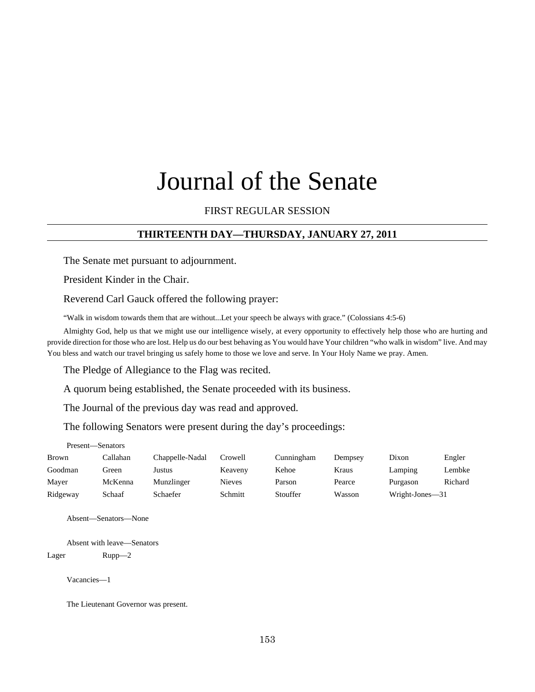# Journal of the Senate

## FIRST REGULAR SESSION

### **THIRTEENTH DAY—THURSDAY, JANUARY 27, 2011**

The Senate met pursuant to adjournment.

President Kinder in the Chair.

Reverend Carl Gauck offered the following prayer:

"Walk in wisdom towards them that are without...Let your speech be always with grace." (Colossians 4:5-6)

Almighty God, help us that we might use our intelligence wisely, at every opportunity to effectively help those who are hurting and provide direction for those who are lost. Help us do our best behaving as You would have Your children "who walk in wisdom" live. And may You bless and watch our travel bringing us safely home to those we love and serve. In Your Holy Name we pray. Amen.

The Pledge of Allegiance to the Flag was recited.

A quorum being established, the Senate proceeded with its business.

The Journal of the previous day was read and approved.

The following Senators were present during the day's proceedings:

| Present—Senators |          |                 |               |            |         |                 |         |
|------------------|----------|-----------------|---------------|------------|---------|-----------------|---------|
| <b>Brown</b>     | Callahan | Chappelle-Nadal | Crowell       | Cunningham | Dempsey | Dixon           | Engler  |
| Goodman          | Green    | Justus          | Keaveny       | Kehoe      | Kraus   | Lamping         | Lembke  |
| Maver            | McKenna  | Munzlinger      | <b>Nieves</b> | Parson     | Pearce  | Purgason        | Richard |
| Ridgeway         | Schaaf   | Schaefer        | Schmitt       | Stouffer   | Wasson  | Wright-Jones-31 |         |

Absent—Senators—None

Absent with leave—Senators Lager Rupp—2

Vacancies—1

The Lieutenant Governor was present.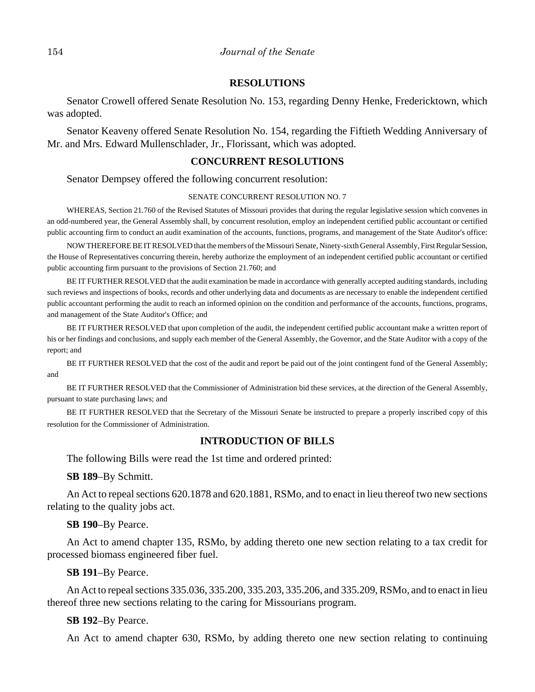#### **RESOLUTIONS**

Senator Crowell offered Senate Resolution No. 153, regarding Denny Henke, Fredericktown, which was adopted.

Senator Keaveny offered Senate Resolution No. 154, regarding the Fiftieth Wedding Anniversary of Mr. and Mrs. Edward Mullenschlader, Jr., Florissant, which was adopted.

#### **CONCURRENT RESOLUTIONS**

Senator Dempsey offered the following concurrent resolution:

#### SENATE CONCURRENT RESOLUTION NO. 7

WHEREAS, Section 21.760 of the Revised Statutes of Missouri provides that during the regular legislative session which convenes in an odd-numbered year, the General Assembly shall, by concurrent resolution, employ an independent certified public accountant or certified public accounting firm to conduct an audit examination of the accounts, functions, programs, and management of the State Auditor's office:

NOW THEREFORE BE IT RESOLVED that the members of the Missouri Senate, Ninety-sixth General Assembly, First Regular Session, the House of Representatives concurring therein, hereby authorize the employment of an independent certified public accountant or certified public accounting firm pursuant to the provisions of Section 21.760; and

BE IT FURTHER RESOLVED that the audit examination be made in accordance with generally accepted auditing standards, including such reviews and inspections of books, records and other underlying data and documents as are necessary to enable the independent certified public accountant performing the audit to reach an informed opinion on the condition and performance of the accounts, functions, programs, and management of the State Auditor's Office; and

BE IT FURTHER RESOLVED that upon completion of the audit, the independent certified public accountant make a written report of his or her findings and conclusions, and supply each member of the General Assembly, the Governor, and the State Auditor with a copy of the report; and

BE IT FURTHER RESOLVED that the cost of the audit and report be paid out of the joint contingent fund of the General Assembly; and

BE IT FURTHER RESOLVED that the Commissioner of Administration bid these services, at the direction of the General Assembly, pursuant to state purchasing laws; and

BE IT FURTHER RESOLVED that the Secretary of the Missouri Senate be instructed to prepare a properly inscribed copy of this resolution for the Commissioner of Administration.

#### **INTRODUCTION OF BILLS**

The following Bills were read the 1st time and ordered printed:

**SB 189**–By Schmitt.

An Act to repeal sections 620.1878 and 620.1881, RSMo, and to enact in lieu thereof two new sections relating to the quality jobs act.

**SB 190**–By Pearce.

An Act to amend chapter 135, RSMo, by adding thereto one new section relating to a tax credit for processed biomass engineered fiber fuel.

**SB 191**–By Pearce.

An Act to repeal sections 335.036, 335.200, 335.203, 335.206, and 335.209, RSMo, and to enact in lieu thereof three new sections relating to the caring for Missourians program.

#### **SB 192**–By Pearce.

An Act to amend chapter 630, RSMo, by adding thereto one new section relating to continuing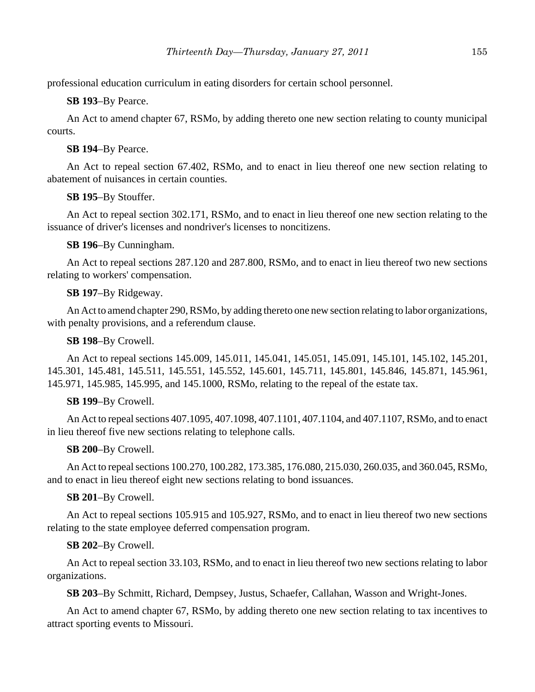professional education curriculum in eating disorders for certain school personnel.

**SB 193**–By Pearce.

An Act to amend chapter 67, RSMo, by adding thereto one new section relating to county municipal courts.

**SB 194**–By Pearce.

An Act to repeal section 67.402, RSMo, and to enact in lieu thereof one new section relating to abatement of nuisances in certain counties.

**SB 195**–By Stouffer.

An Act to repeal section 302.171, RSMo, and to enact in lieu thereof one new section relating to the issuance of driver's licenses and nondriver's licenses to noncitizens.

**SB 196**–By Cunningham.

An Act to repeal sections 287.120 and 287.800, RSMo, and to enact in lieu thereof two new sections relating to workers' compensation.

# **SB 197**–By Ridgeway.

An Act to amend chapter 290, RSMo, by adding thereto one new section relating to labor organizations, with penalty provisions, and a referendum clause.

**SB 198**–By Crowell.

An Act to repeal sections 145.009, 145.011, 145.041, 145.051, 145.091, 145.101, 145.102, 145.201, 145.301, 145.481, 145.511, 145.551, 145.552, 145.601, 145.711, 145.801, 145.846, 145.871, 145.961, 145.971, 145.985, 145.995, and 145.1000, RSMo, relating to the repeal of the estate tax.

# **SB 199**–By Crowell.

An Act to repeal sections 407.1095, 407.1098, 407.1101, 407.1104, and 407.1107, RSMo, and to enact in lieu thereof five new sections relating to telephone calls.

# **SB 200**–By Crowell.

An Act to repeal sections 100.270, 100.282, 173.385, 176.080, 215.030, 260.035, and 360.045, RSMo, and to enact in lieu thereof eight new sections relating to bond issuances.

# **SB 201**–By Crowell.

An Act to repeal sections 105.915 and 105.927, RSMo, and to enact in lieu thereof two new sections relating to the state employee deferred compensation program.

# **SB 202**–By Crowell.

An Act to repeal section 33.103, RSMo, and to enact in lieu thereof two new sections relating to labor organizations.

**SB 203**–By Schmitt, Richard, Dempsey, Justus, Schaefer, Callahan, Wasson and Wright-Jones.

An Act to amend chapter 67, RSMo, by adding thereto one new section relating to tax incentives to attract sporting events to Missouri.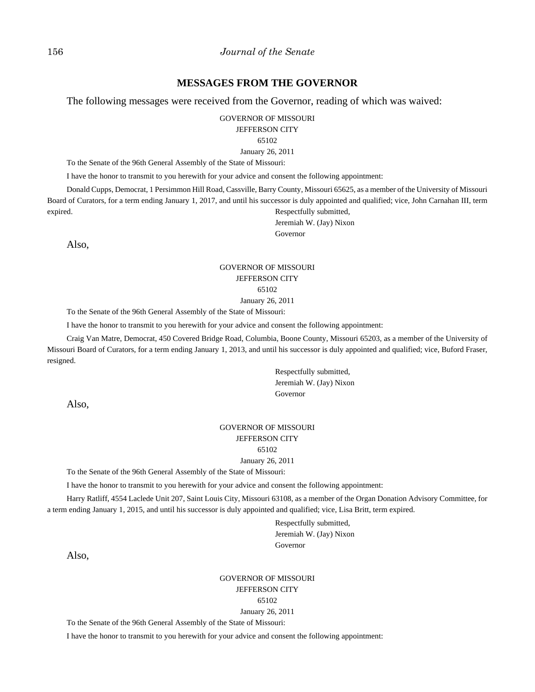#### 156 *Journal of the Senate*

#### **MESSAGES FROM THE GOVERNOR**

The following messages were received from the Governor, reading of which was waived:

GOVERNOR OF MISSOURI

JEFFERSON CITY

65102

January 26, 2011

To the Senate of the 96th General Assembly of the State of Missouri:

I have the honor to transmit to you herewith for your advice and consent the following appointment:

Donald Cupps, Democrat, 1 Persimmon Hill Road, Cassville, Barry County, Missouri 65625, as a member of the University of Missouri Board of Curators, for a term ending January 1, 2017, and until his successor is duly appointed and qualified; vice, John Carnahan III, term expired. Respectfully submitted, Jeremiah W. (Jay) Nixon

Governor

Also,

#### GOVERNOR OF MISSOURI JEFFERSON CITY 65102

January 26, 2011

To the Senate of the 96th General Assembly of the State of Missouri:

I have the honor to transmit to you herewith for your advice and consent the following appointment:

Craig Van Matre, Democrat, 450 Covered Bridge Road, Columbia, Boone County, Missouri 65203, as a member of the University of Missouri Board of Curators, for a term ending January 1, 2013, and until his successor is duly appointed and qualified; vice, Buford Fraser, resigned.

> Respectfully submitted, Jeremiah W. (Jay) Nixon Governor

Also,

## GOVERNOR OF MISSOURI JEFFERSON CITY

#### 65102

January 26, 2011

To the Senate of the 96th General Assembly of the State of Missouri:

I have the honor to transmit to you herewith for your advice and consent the following appointment:

Harry Ratliff, 4554 Laclede Unit 207, Saint Louis City, Missouri 63108, as a member of the Organ Donation Advisory Committee, for a term ending January 1, 2015, and until his successor is duly appointed and qualified; vice, Lisa Britt, term expired.

> Respectfully submitted, Jeremiah W. (Jay) Nixon Governor

Also,

GOVERNOR OF MISSOURI JEFFERSON CITY 65102 January 26, 2011

To the Senate of the 96th General Assembly of the State of Missouri:

I have the honor to transmit to you herewith for your advice and consent the following appointment: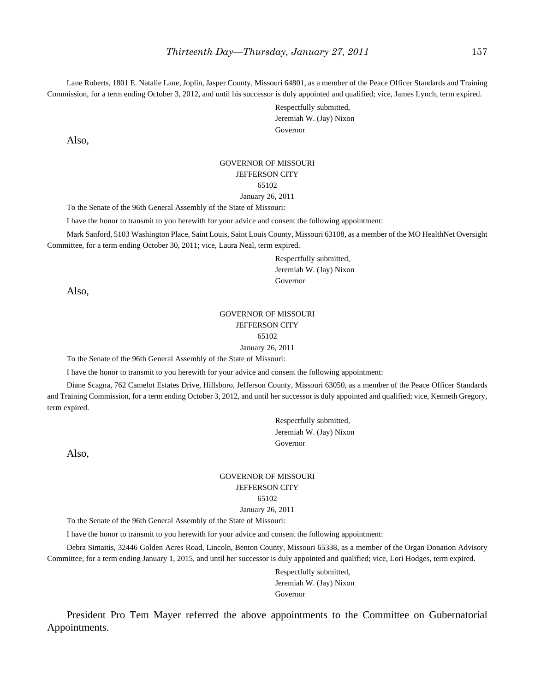Lane Roberts, 1801 E. Natalie Lane, Joplin, Jasper County, Missouri 64801, as a member of the Peace Officer Standards and Training Commission, for a term ending October 3, 2012, and until his successor is duly appointed and qualified; vice, James Lynch, term expired.

> Respectfully submitted, Jeremiah W. (Jay) Nixon Governor

Also,

#### GOVERNOR OF MISSOURI JEFFERSON CITY 65102 January 26, 2011

To the Senate of the 96th General Assembly of the State of Missouri:

I have the honor to transmit to you herewith for your advice and consent the following appointment:

Mark Sanford, 5103 Washington Place, Saint Louis, Saint Louis County, Missouri 63108, as a member of the MO HealthNet Oversight Committee, for a term ending October 30, 2011; vice, Laura Neal, term expired.

> Respectfully submitted, Jeremiah W. (Jay) Nixon Governor

Also,

#### GOVERNOR OF MISSOURI JEFFERSON CITY 65102

January 26, 2011

To the Senate of the 96th General Assembly of the State of Missouri:

I have the honor to transmit to you herewith for your advice and consent the following appointment:

Diane Scagna, 762 Camelot Estates Drive, Hillsboro, Jefferson County, Missouri 63050, as a member of the Peace Officer Standards and Training Commission, for a term ending October 3, 2012, and until her successor is duly appointed and qualified; vice, Kenneth Gregory, term expired.

> Respectfully submitted, Jeremiah W. (Jay) Nixon Governor

Also,

# GOVERNOR OF MISSOURI JEFFERSON CITY 65102

January 26, 2011

To the Senate of the 96th General Assembly of the State of Missouri:

I have the honor to transmit to you herewith for your advice and consent the following appointment:

Debra Simaitis, 32446 Golden Acres Road, Lincoln, Benton County, Missouri 65338, as a member of the Organ Donation Advisory Committee, for a term ending January 1, 2015, and until her successor is duly appointed and qualified; vice, Lori Hodges, term expired.

> Respectfully submitted, Jeremiah W. (Jay) Nixon Governor

President Pro Tem Mayer referred the above appointments to the Committee on Gubernatorial Appointments.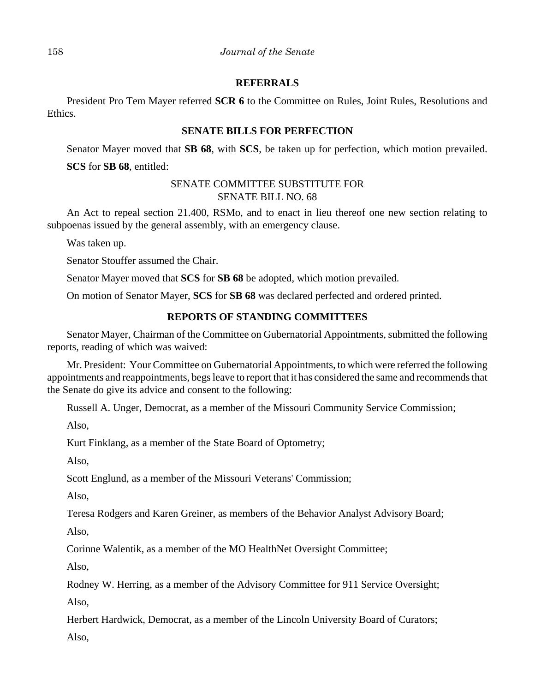## **REFERRALS**

President Pro Tem Mayer referred **SCR 6** to the Committee on Rules, Joint Rules, Resolutions and Ethics.

## **SENATE BILLS FOR PERFECTION**

Senator Mayer moved that **SB 68**, with **SCS**, be taken up for perfection, which motion prevailed. **SCS** for **SB 68**, entitled:

## SENATE COMMITTEE SUBSTITUTE FOR SENATE BILL NO. 68

An Act to repeal section 21.400, RSMo, and to enact in lieu thereof one new section relating to subpoenas issued by the general assembly, with an emergency clause.

Was taken up.

Senator Stouffer assumed the Chair.

Senator Mayer moved that **SCS** for **SB 68** be adopted, which motion prevailed.

On motion of Senator Mayer, **SCS** for **SB 68** was declared perfected and ordered printed.

# **REPORTS OF STANDING COMMITTEES**

Senator Mayer, Chairman of the Committee on Gubernatorial Appointments, submitted the following reports, reading of which was waived:

Mr. President: Your Committee on Gubernatorial Appointments, to which were referred the following appointments and reappointments, begs leave to report that it has considered the same and recommends that the Senate do give its advice and consent to the following:

Russell A. Unger, Democrat, as a member of the Missouri Community Service Commission;

Also,

Kurt Finklang, as a member of the State Board of Optometry;

Also,

Scott Englund, as a member of the Missouri Veterans' Commission;

Also,

Teresa Rodgers and Karen Greiner, as members of the Behavior Analyst Advisory Board;

Also,

Corinne Walentik, as a member of the MO HealthNet Oversight Committee;

Also,

Rodney W. Herring, as a member of the Advisory Committee for 911 Service Oversight;

Also,

Herbert Hardwick, Democrat, as a member of the Lincoln University Board of Curators;

Also,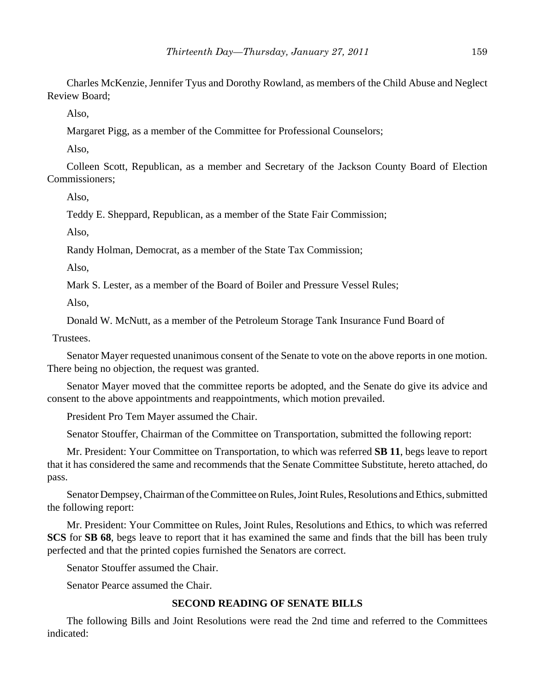Charles McKenzie, Jennifer Tyus and Dorothy Rowland, as members of the Child Abuse and Neglect Review Board;

Also,

Margaret Pigg, as a member of the Committee for Professional Counselors;

Also,

Colleen Scott, Republican, as a member and Secretary of the Jackson County Board of Election Commissioners;

Also,

Teddy E. Sheppard, Republican, as a member of the State Fair Commission;

Also,

Randy Holman, Democrat, as a member of the State Tax Commission;

Also,

Mark S. Lester, as a member of the Board of Boiler and Pressure Vessel Rules;

Also,

Donald W. McNutt, as a member of the Petroleum Storage Tank Insurance Fund Board of

Trustees.

Senator Mayer requested unanimous consent of the Senate to vote on the above reports in one motion. There being no objection, the request was granted.

Senator Mayer moved that the committee reports be adopted, and the Senate do give its advice and consent to the above appointments and reappointments, which motion prevailed.

President Pro Tem Mayer assumed the Chair.

Senator Stouffer, Chairman of the Committee on Transportation, submitted the following report:

Mr. President: Your Committee on Transportation, to which was referred **SB 11**, begs leave to report that it has considered the same and recommends that the Senate Committee Substitute, hereto attached, do pass.

Senator Dempsey, Chairman of the Committee on Rules, Joint Rules, Resolutions and Ethics, submitted the following report:

Mr. President: Your Committee on Rules, Joint Rules, Resolutions and Ethics, to which was referred **SCS** for **SB 68**, begs leave to report that it has examined the same and finds that the bill has been truly perfected and that the printed copies furnished the Senators are correct.

Senator Stouffer assumed the Chair.

Senator Pearce assumed the Chair.

# **SECOND READING OF SENATE BILLS**

The following Bills and Joint Resolutions were read the 2nd time and referred to the Committees indicated: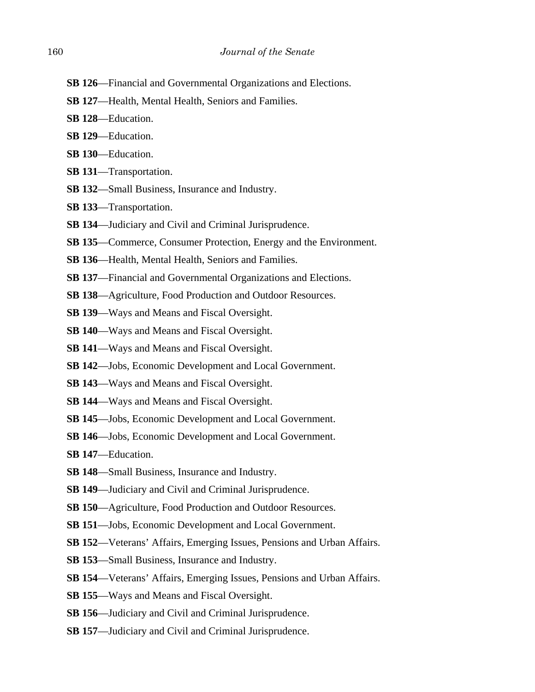- **SB 126**—Financial and Governmental Organizations and Elections.
- **SB 127**—Health, Mental Health, Seniors and Families.
- **SB 128**—Education.
- **SB 129**—Education.
- **SB 130**—Education.
- **SB 131**—Transportation.
- **SB 132**—Small Business, Insurance and Industry.
- **SB 133**—Transportation.
- **SB 134**—Judiciary and Civil and Criminal Jurisprudence.
- **SB 135**—Commerce, Consumer Protection, Energy and the Environment.
- **SB 136**—Health, Mental Health, Seniors and Families.
- **SB 137**—Financial and Governmental Organizations and Elections.
- **SB 138**—Agriculture, Food Production and Outdoor Resources.
- **SB 139**—Ways and Means and Fiscal Oversight.
- **SB 140**—Ways and Means and Fiscal Oversight.
- **SB 141**—Ways and Means and Fiscal Oversight.
- **SB 142**—Jobs, Economic Development and Local Government.
- **SB 143**—Ways and Means and Fiscal Oversight.
- **SB 144**—Ways and Means and Fiscal Oversight.
- **SB 145**—Jobs, Economic Development and Local Government.
- **SB 146**—Jobs, Economic Development and Local Government.
- **SB 147**—Education.
- **SB 148**—Small Business, Insurance and Industry.
- **SB 149**—Judiciary and Civil and Criminal Jurisprudence.
- **SB 150**—Agriculture, Food Production and Outdoor Resources.
- **SB 151**—Jobs, Economic Development and Local Government.
- **SB 152**—Veterans' Affairs, Emerging Issues, Pensions and Urban Affairs.
- **SB 153**—Small Business, Insurance and Industry.
- **SB 154**—Veterans' Affairs, Emerging Issues, Pensions and Urban Affairs.
- **SB 155**—Ways and Means and Fiscal Oversight.
- **SB 156**—Judiciary and Civil and Criminal Jurisprudence.
- **SB 157**—Judiciary and Civil and Criminal Jurisprudence.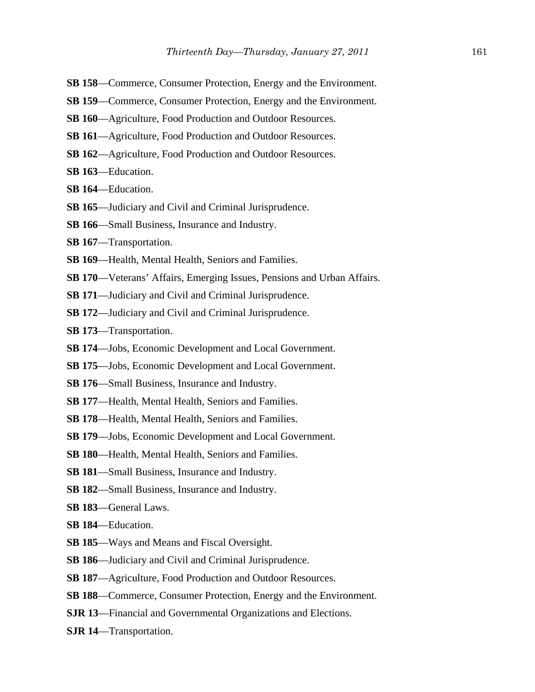- **SB 158**—Commerce, Consumer Protection, Energy and the Environment.
- **SB 159**—Commerce, Consumer Protection, Energy and the Environment.
- **SB 160**—Agriculture, Food Production and Outdoor Resources.
- **SB 161**—Agriculture, Food Production and Outdoor Resources.
- **SB 162**—Agriculture, Food Production and Outdoor Resources.
- **SB 163**—Education.
- **SB 164**—Education.
- **SB 165**—Judiciary and Civil and Criminal Jurisprudence.
- **SB 166**—Small Business, Insurance and Industry.
- **SB 167**—Transportation.
- **SB 169**—Health, Mental Health, Seniors and Families.
- **SB 170**—Veterans' Affairs, Emerging Issues, Pensions and Urban Affairs.
- **SB 171**—Judiciary and Civil and Criminal Jurisprudence.
- **SB 172**—Judiciary and Civil and Criminal Jurisprudence.
- **SB 173**—Transportation.
- **SB 174**—Jobs, Economic Development and Local Government.
- **SB 175**—Jobs, Economic Development and Local Government.
- **SB 176**—Small Business, Insurance and Industry.
- **SB 177**—Health, Mental Health, Seniors and Families.
- **SB 178**—Health, Mental Health, Seniors and Families.
- **SB 179**—Jobs, Economic Development and Local Government.
- **SB 180**—Health, Mental Health, Seniors and Families.
- **SB 181**—Small Business, Insurance and Industry.
- **SB 182**—Small Business, Insurance and Industry.
- **SB 183**—General Laws.
- **SB 184**—Education.
- **SB 185**—Ways and Means and Fiscal Oversight.
- **SB 186**—Judiciary and Civil and Criminal Jurisprudence.
- **SB 187**—Agriculture, Food Production and Outdoor Resources.
- **SB 188**—Commerce, Consumer Protection, Energy and the Environment.
- **SJR 13**—Financial and Governmental Organizations and Elections.
- **SJR 14**—Transportation.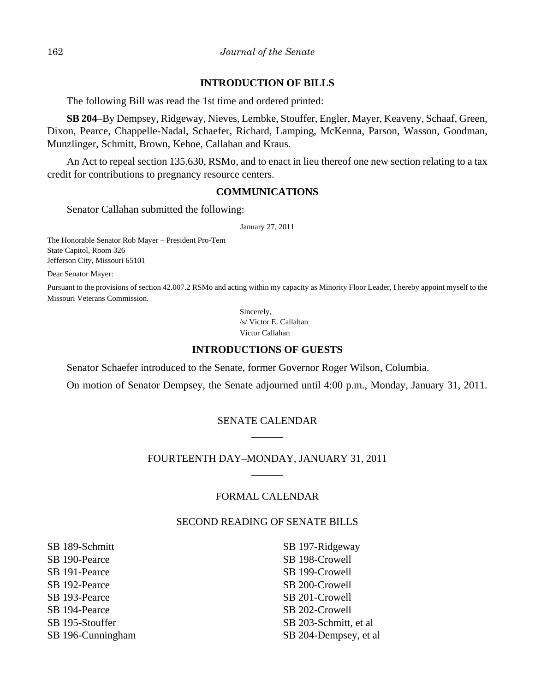### **INTRODUCTION OF BILLS**

The following Bill was read the 1st time and ordered printed:

**SB 204**–By Dempsey, Ridgeway, Nieves, Lembke, Stouffer, Engler, Mayer, Keaveny, Schaaf, Green, Dixon, Pearce, Chappelle-Nadal, Schaefer, Richard, Lamping, McKenna, Parson, Wasson, Goodman, Munzlinger, Schmitt, Brown, Kehoe, Callahan and Kraus.

An Act to repeal section 135.630, RSMo, and to enact in lieu thereof one new section relating to a tax credit for contributions to pregnancy resource centers.

### **COMMUNICATIONS**

Senator Callahan submitted the following:

January 27, 2011

The Honorable Senator Rob Mayer – President Pro-Tem State Capitol, Room 326 Jefferson City, Missouri 65101

Dear Senator Mayer:

Pursuant to the provisions of section 42.007.2 RSMo and acting within my capacity as Minority Floor Leader, I hereby appoint myself to the Missouri Veterans Commission.

> Sincerely, /s/ Victor E. Callahan Victor Callahan

#### **INTRODUCTIONS OF GUESTS**

Senator Schaefer introduced to the Senate, former Governor Roger Wilson, Columbia.

On motion of Senator Dempsey, the Senate adjourned until 4:00 p.m., Monday, January 31, 2011.

## SENATE CALENDAR  $\overline{\phantom{a}}$

## FOURTEENTH DAY–MONDAY, JANUARY 31, 2011 \_\_\_\_\_\_

## FORMAL CALENDAR

## SECOND READING OF SENATE BILLS

SB 189-Schmitt SB 190-Pearce SB 191-Pearce SB 192-Pearce SB 193-Pearce SB 194-Pearce SB 195-Stouffer SB 196-Cunningham

SB 197-Ridgeway SB 198-Crowell SB 199-Crowell SB 200-Crowell SB 201-Crowell SB 202-Crowell SB 203-Schmitt, et al SB 204-Dempsey, et al